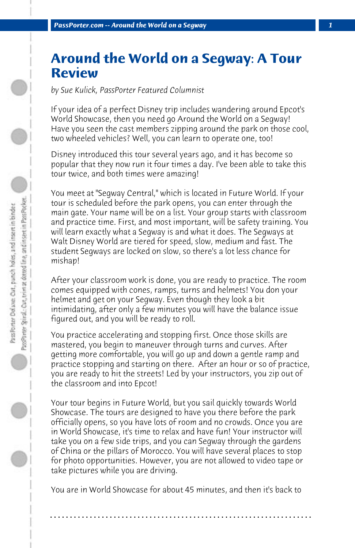## **Around the World on a Segway: A Tour Review**

*by Sue Kulick, PassPorter Featured Columnist*

If your idea of a perfect Disney trip includes wandering around Epcot's World Showcase, then you need go Around the World on a Segway! Have you seen the cast members zipping around the park on those cool, two wheeled vehicles? Well, you can learn to operate one, too!

Disney introduced this tour several years ago, and it has become so popular that they now run it four times a day. I've been able to take this tour twice, and both times were amazing!

You meet at "Segway Central," which is located in Future World. If your tour is scheduled before the park opens, you can enter through the main gate. Your name will be on a list. Your group starts with classroom and practice time. First, and most important, will be safety training. You will learn exactly what a Segway is and what it does. The Segways at Walt Disney World are tiered for speed, slow, medium and fast. The student Segways are locked on slow, so there's a lot less chance for mishap!

After your classroom work is done, you are ready to practice. The room comes equipped with cones, ramps, turns and helmets! You don your helmet and get on your Segway. Even though they look a bit intimidating, after only a few minutes you will have the balance issue figured out, and you will be ready to roll.

You practice accelerating and stopping first. Once those skills are mastered, you begin to maneuver through turns and curves. After getting more comfortable, you will go up and down a gentle ramp and practice stopping and starting on there. After an hour or so of practice, you are ready to hit the streets! Led by your instructors, you zip out of the classroom and into Epcot!

Your tour begins in Future World, but you sail quickly towards World Showcase. The tours are designed to have you there before the park officially opens, so you have lots of room and no crowds. Once you are in World Showcase, it's time to relax and have fun! Your instructor will take you on a few side trips, and you can Segway through the gardens of China or the pillars of Morocco. You will have several places to stop for photo opportunities. However, you are not allowed to video tape or take pictures while you are driving.

You are in World Showcase for about 45 minutes, and then it's back to

**. . . . . . . . . . . . . . . . . . . . . . . . . . . . . . . . . . . . . . . . . . . . . . . . . . . . . . . . . . . . . . . . . .**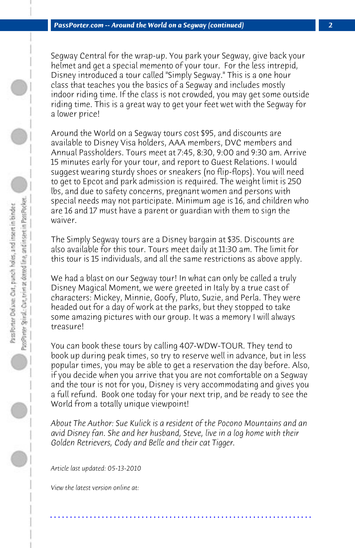Segway Central for the wrap-up. You park your Segway, give back your helmet and get a special memento of your tour. For the less intrepid, Disney introduced a tour called "Simply Segway." This is a one hour class that teaches you the basics of a Segway and includes mostly indoor riding time. If the class is not crowded, you may get some outside riding time. This is a great way to get your feet wet with the Segway for a lower price!

Around the World on a Segway tours cost \$95, and discounts are available to Disney Visa holders, AAA members, DVC members and Annual Passholders. Tours meet at 7:45, 8:30, 9:00 and 9:30 am. Arrive 15 minutes early for your tour, and report to Guest Relations. I would suggest wearing sturdy shoes or sneakers (no flip-flops). You will need to get to Epcot and park admission is required. The weight limit is 250 lbs, and due to safety concerns, pregnant women and persons with special needs may not participate. Minimum age is 16, and children who are 16 and 17 must have a parent or guardian with them to sign the waiver.

The Simply Segway tours are a Disney bargain at \$35. Discounts are also available for this tour. Tours meet daily at 11:30 am. The limit for this tour is 15 individuals, and all the same restrictions as above apply.

We had a blast on our Segway tour! In what can only be called a truly Disney Magical Moment, we were greeted in Italy by a true cast of characters: Mickey, Minnie, Goofy, Pluto, Suzie, and Perla. They were headed out for a day of work at the parks, but they stopped to take some amazing pictures with our group. It was a memory I will always treasure!

You can book these tours by calling 407-WDW-TOUR. They tend to book up during peak times, so try to reserve well in advance, but in less popular times, you may be able to get a reservation the day before. Also, if you decide when you arrive that you are not comfortable on a Segway and the tour is not for you, Disney is very accommodating and gives you a full refund. Book one today for your next trip, and be ready to see the World from a totally unique viewpoint!

*About The Author: Sue Kulick is a resident of the Pocono Mountains and an avid Disney fan. She and her husband, Steve, live in a log home with their Golden Retrievers, Cody and Belle and their cat Tigger.*

**. . . . . . . . . . . . . . . . . . . . . . . . . . . . . . . . . . . . . . . . . . . . . . . . . . . . . . . . . . . . . . . . . .**

*Article last updated: 05-13-2010*

*View the latest version online at:*